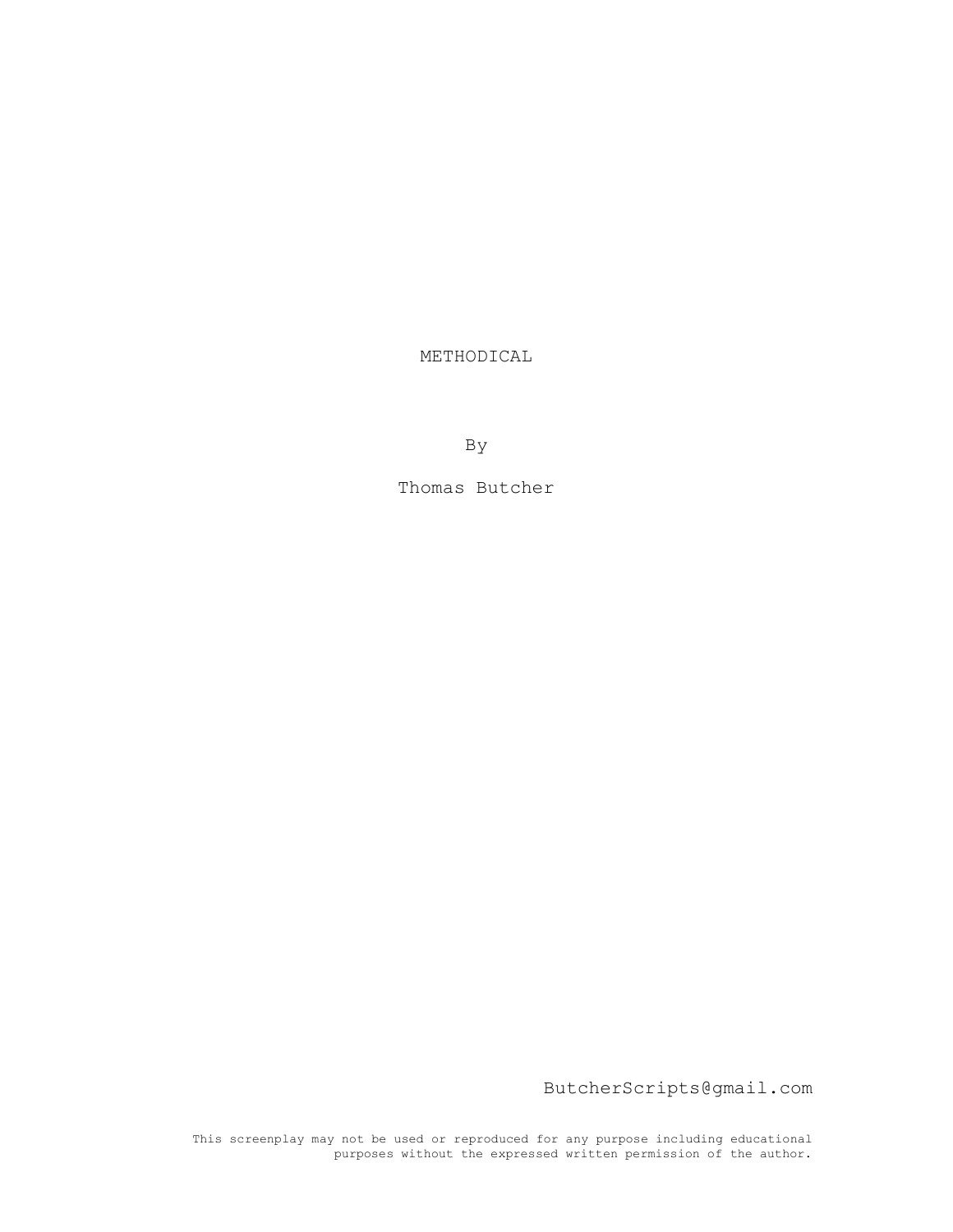METHODICAL

By

Thomas Butcher

ButcherScripts@gmail.com

This screenplay may not be used or reproduced for any purpose including educational purposes without the expressed written permission of the author.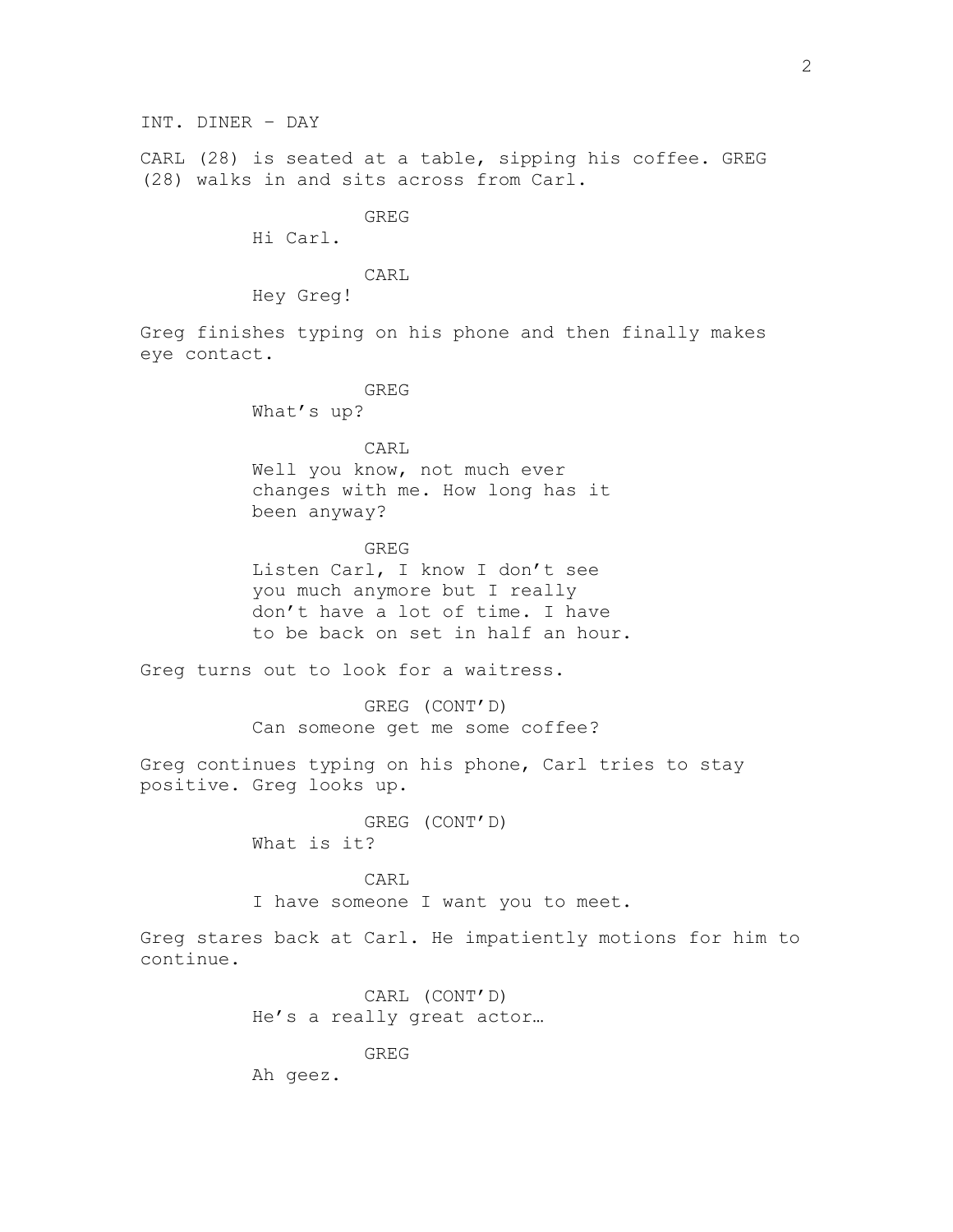CARL (28) is seated at a table, sipping his coffee. GREG (28) walks in and sits across from Carl.

GREG

Hi Carl.

CARL

Hey Greg!

Greg finishes typing on his phone and then finally makes eye contact.

> GREG What's up?

CARL Well you know, not much ever changes with me. How long has it been anyway?

GREG Listen Carl, I know I don't see you much anymore but I really don't have a lot of time. I have to be back on set in half an hour.

Greg turns out to look for a waitress.

GREG (CONT'D) Can someone get me some coffee?

Greg continues typing on his phone, Carl tries to stay positive. Greg looks up.

> GREG (CONT'D) What is it?

CARL I have someone I want you to meet.

Greg stares back at Carl. He impatiently motions for him to continue.

> CARL (CONT'D) He's a really great actor…

GREG Ah geez.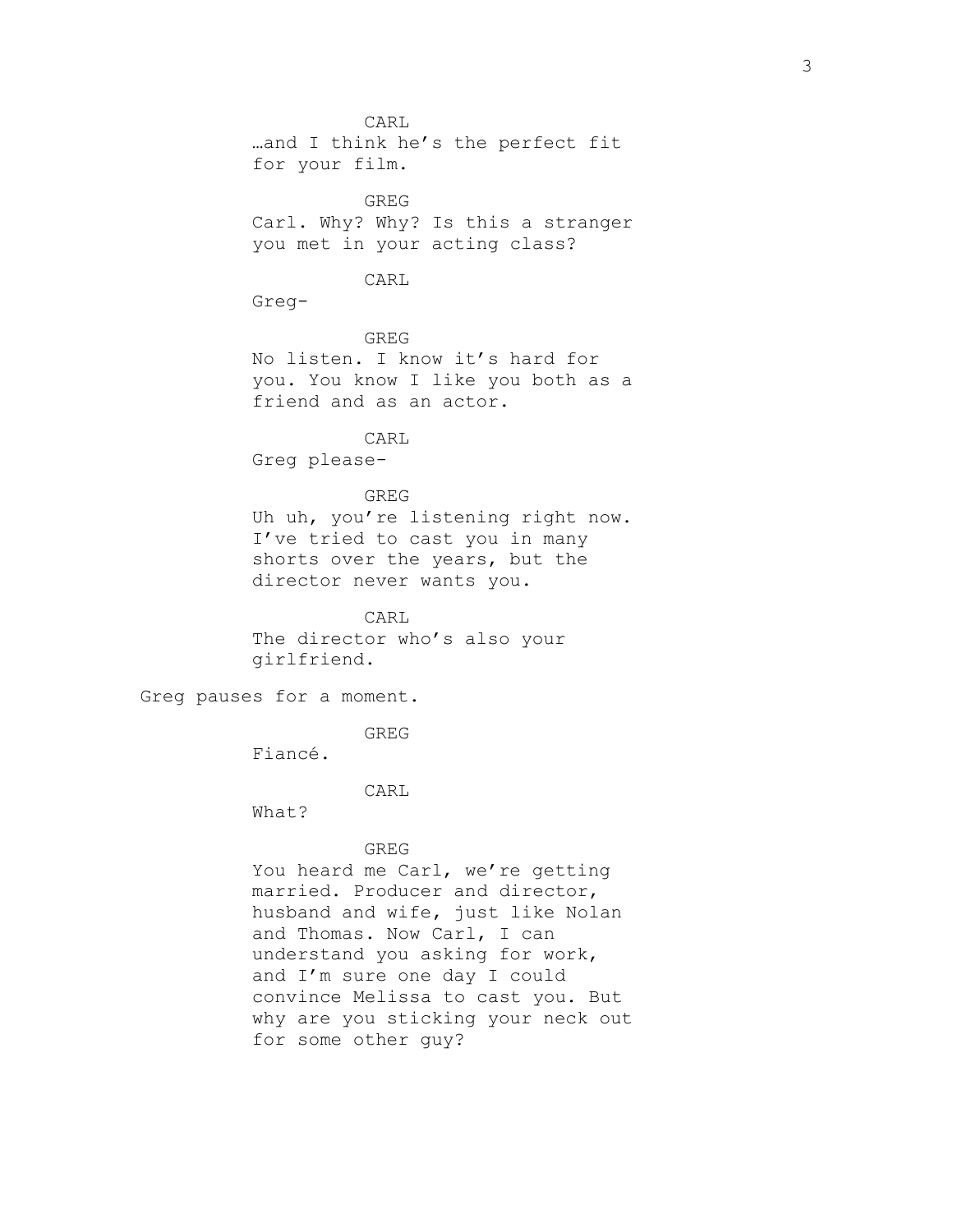CARL …and I think he's the perfect fit for your film. GREG Carl. Why? Why? Is this a stranger you met in your acting class? CARL Greg-GREG No listen. I know it's hard for you. You know I like you both as a friend and as an actor. CARL Greg please-GREG Uh uh, you're listening right now. I've tried to cast you in many shorts over the years, but the director never wants you. CARL The director who's also your girlfriend. Greg pauses for a moment. GREG Fiancé. CARL What? GREG You heard me Carl, we're getting married. Producer and director, husband and wife, just like Nolan and Thomas. Now Carl, I can understand you asking for work, and I'm sure one day I could convince Melissa to cast you. But why are you sticking your neck out for some other guy?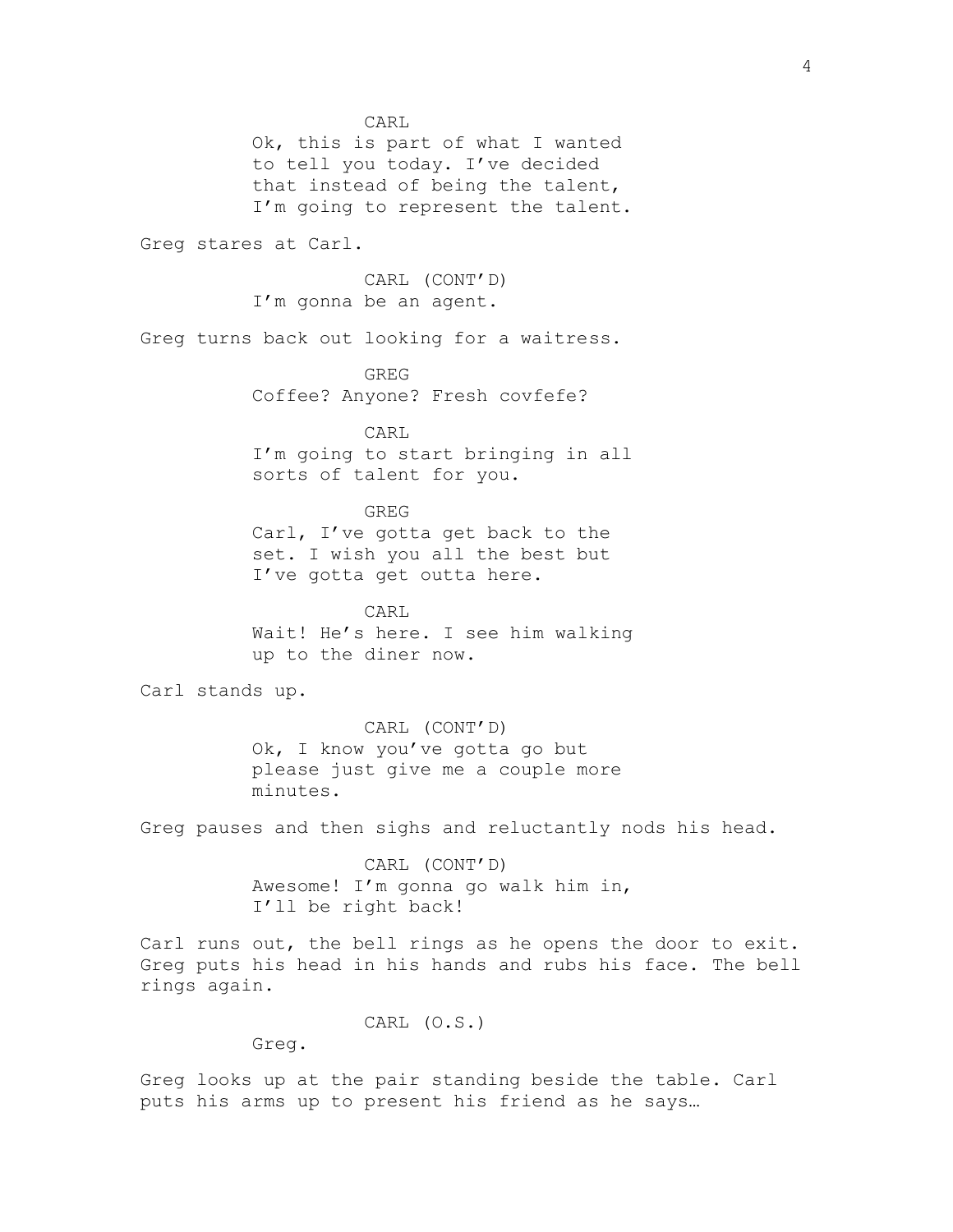CARL Ok, this is part of what I wanted to tell you today. I've decided that instead of being the talent, I'm going to represent the talent. Greg stares at Carl. CARL (CONT'D) I'm gonna be an agent. Greg turns back out looking for a waitress. GREG Coffee? Anyone? Fresh covfefe? CARL I'm going to start bringing in all sorts of talent for you. GREG Carl, I've gotta get back to the set. I wish you all the best but I've gotta get outta here. CARL Wait! He's here. I see him walking up to the diner now. Carl stands up. CARL (CONT'D) Ok, I know you've gotta go but please just give me a couple more minutes. Greg pauses and then sighs and reluctantly nods his head. CARL (CONT'D) Awesome! I'm gonna go walk him in, I'll be right back! Carl runs out, the bell rings as he opens the door to exit. Greg puts his head in his hands and rubs his face. The bell rings again. CARL (O.S.) Greg.

Greg looks up at the pair standing beside the table. Carl puts his arms up to present his friend as he says…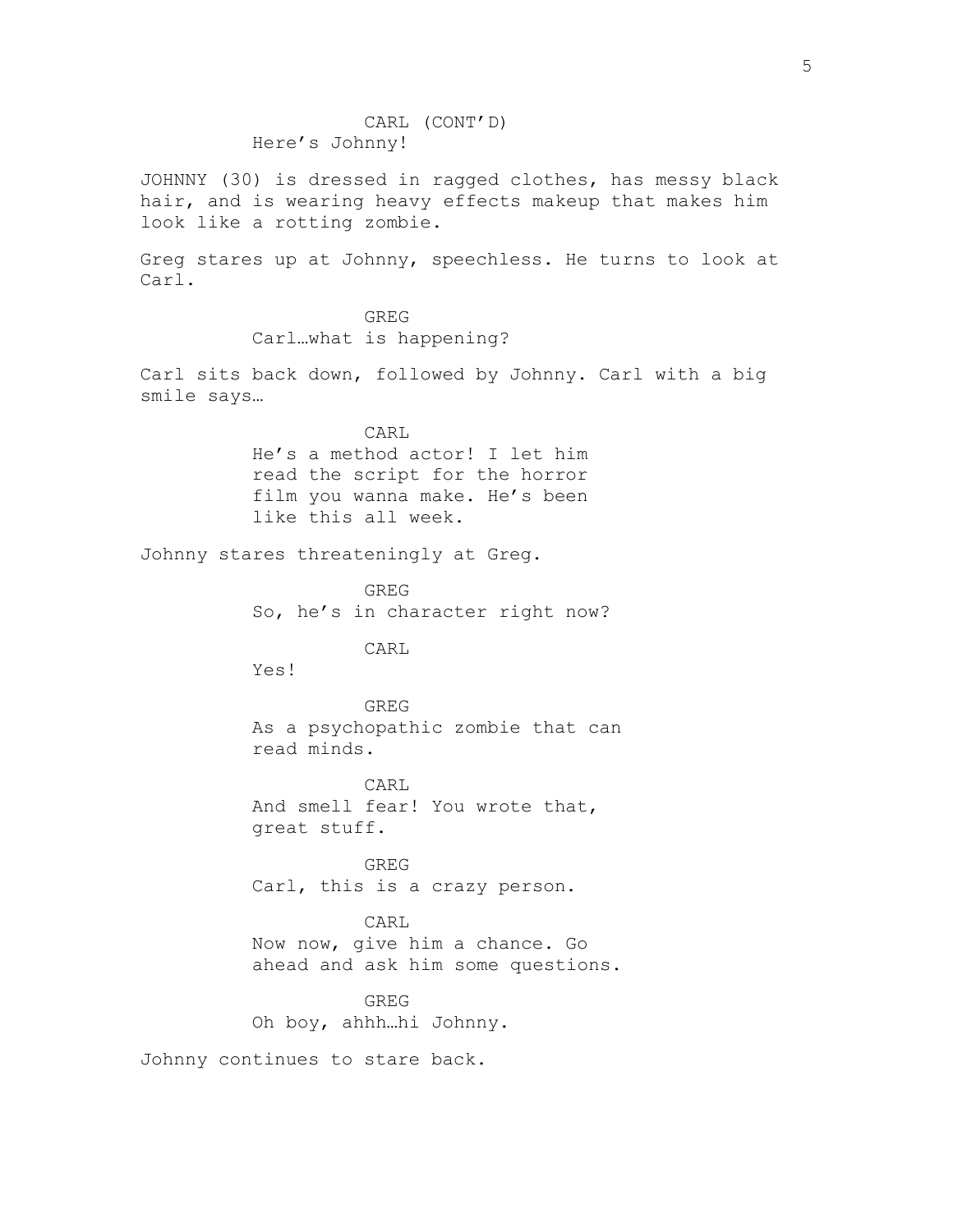JOHNNY (30) is dressed in ragged clothes, has messy black hair, and is wearing heavy effects makeup that makes him look like a rotting zombie.

Greg stares up at Johnny, speechless. He turns to look at Carl.

> GREG Carl…what is happening?

Carl sits back down, followed by Johnny. Carl with a big smile says…

> CARL He's a method actor! I let him read the script for the horror film you wanna make. He's been like this all week.

Johnny stares threateningly at Greg.

GREG So, he's in character right now?

CARL

Yes!

GREG As a psychopathic zombie that can read minds.

CARL And smell fear! You wrote that, great stuff.

GREG Carl, this is a crazy person.

CARL Now now, give him a chance. Go ahead and ask him some questions.

GREG Oh boy, ahhh…hi Johnny.

Johnny continues to stare back.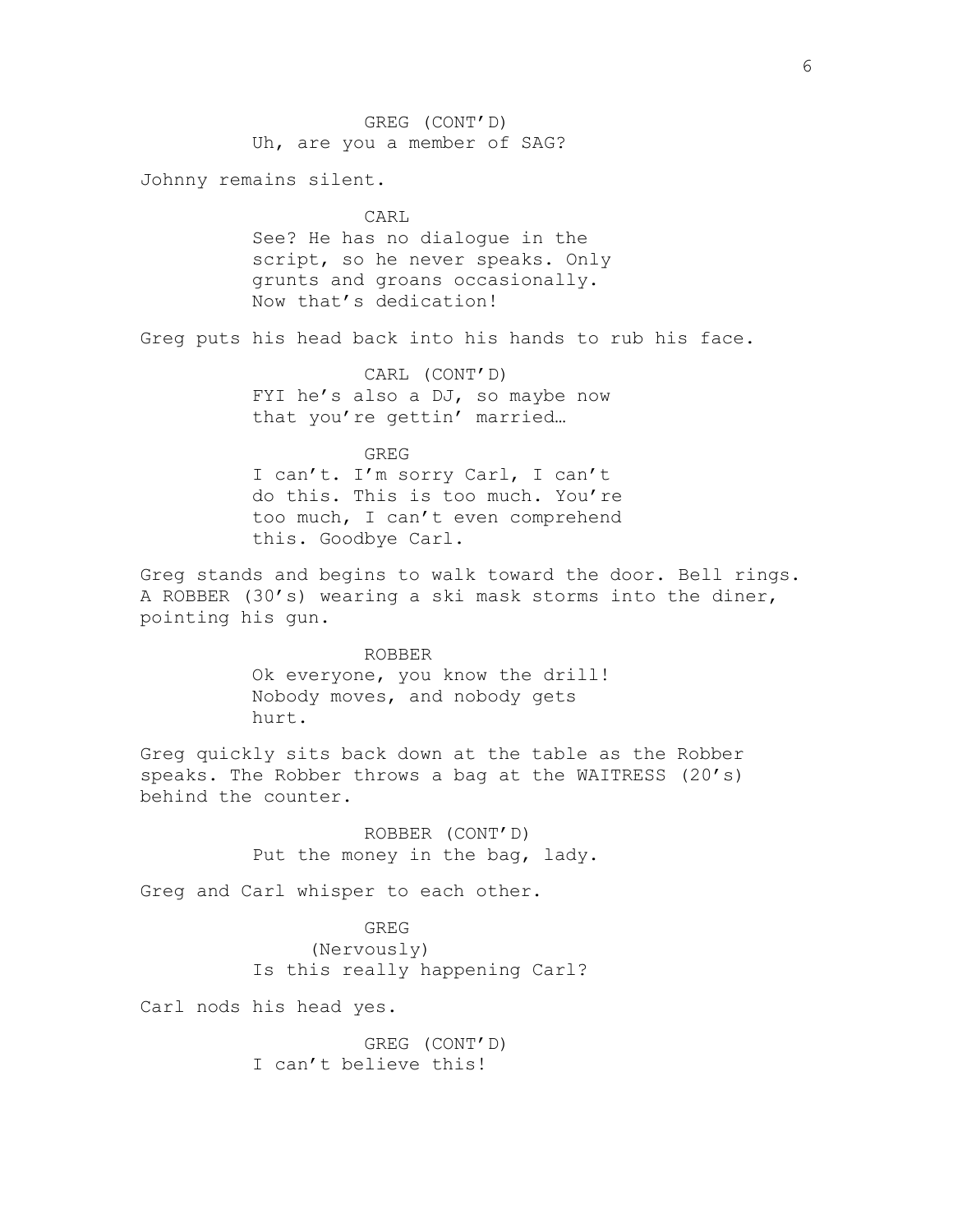GREG (CONT'D) Uh, are you a member of SAG? Johnny remains silent. CARL See? He has no dialogue in the script, so he never speaks. Only grunts and groans occasionally. Now that's dedication! Greg puts his head back into his hands to rub his face. CARL (CONT'D) FYI he's also a DJ, so maybe now that you're gettin' married… GREG I can't. I'm sorry Carl, I can't do this. This is too much. You're too much, I can't even comprehend this. Goodbye Carl. Greg stands and begins to walk toward the door. Bell rings. A ROBBER (30's) wearing a ski mask storms into the diner, pointing his gun. ROBBER Ok everyone, you know the drill! Nobody moves, and nobody gets hurt. Greg quickly sits back down at the table as the Robber speaks. The Robber throws a bag at the WAITRESS (20's) behind the counter. ROBBER (CONT'D) Put the money in the bag, lady. Greg and Carl whisper to each other. GREG (Nervously) Is this really happening Carl? Carl nods his head yes. GREG (CONT'D) I can't believe this!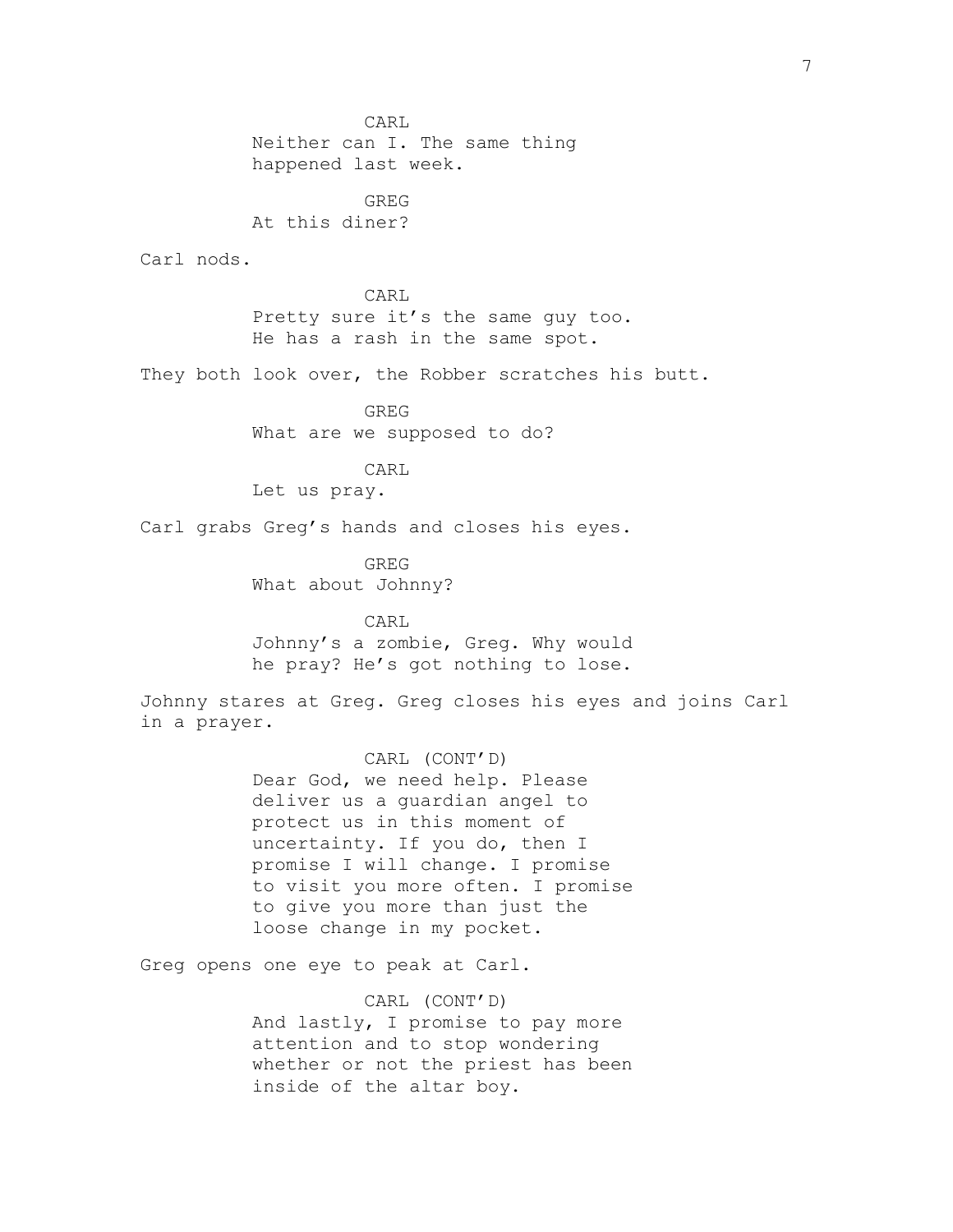CARL Neither can I. The same thing happened last week. GREG At this diner? Carl nods. CARL Pretty sure it's the same guy too. He has a rash in the same spot. They both look over, the Robber scratches his butt. GREG What are we supposed to do? CARL Let us pray. Carl grabs Greg's hands and closes his eyes. GREG What about Johnny? CARL Johnny's a zombie, Greg. Why would he pray? He's got nothing to lose. Johnny stares at Greg. Greg closes his eyes and joins Carl in a prayer. CARL (CONT'D) Dear God, we need help. Please deliver us a guardian angel to protect us in this moment of uncertainty. If you do, then I promise I will change. I promise to visit you more often. I promise to give you more than just the loose change in my pocket. Greg opens one eye to peak at Carl. CARL (CONT'D) And lastly, I promise to pay more attention and to stop wondering whether or not the priest has been

inside of the altar boy.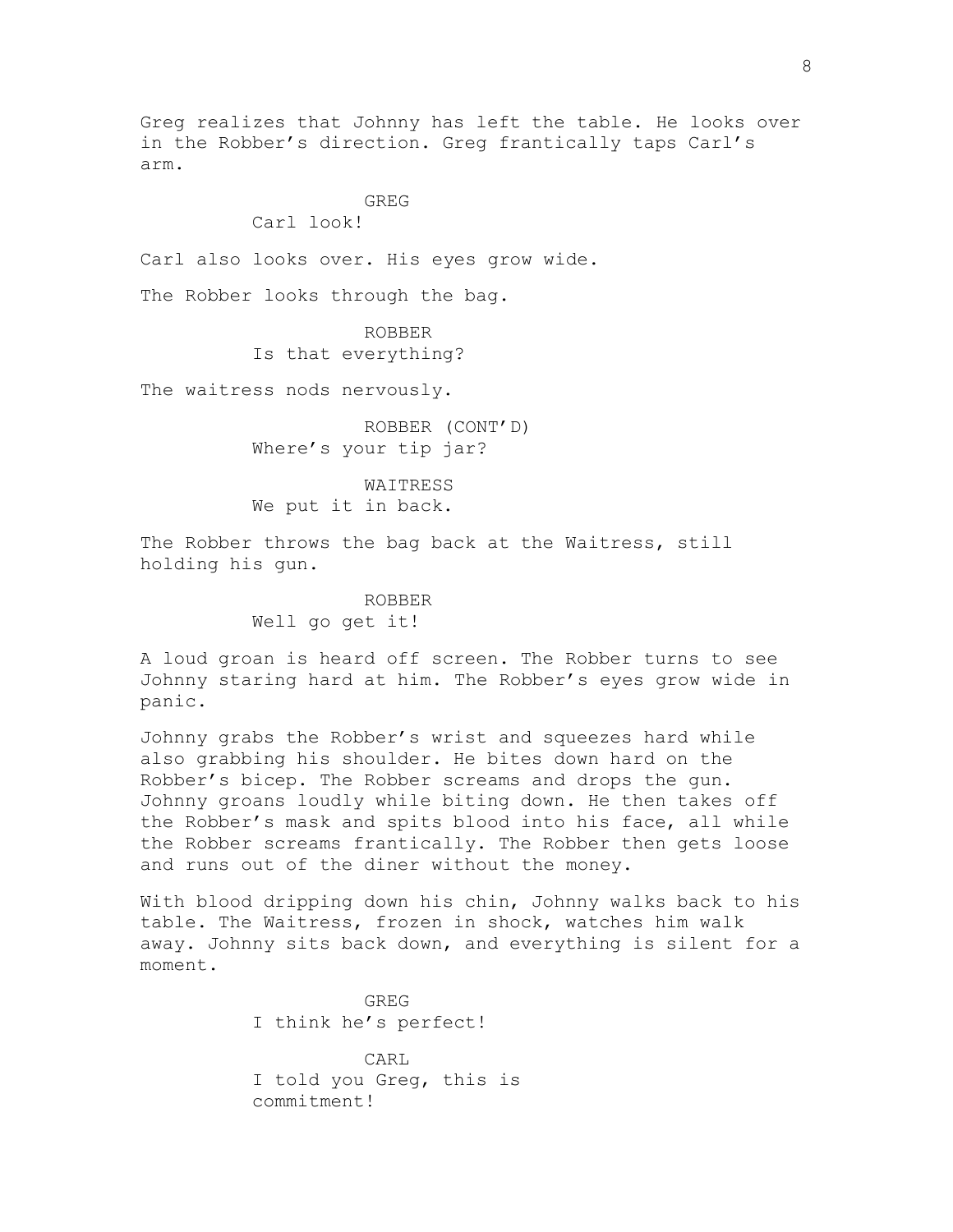Greg realizes that Johnny has left the table. He looks over in the Robber's direction. Greg frantically taps Carl's arm.

## GREG

Carl look!

Carl also looks over. His eyes grow wide.

The Robber looks through the bag.

ROBBER Is that everything?

The waitress nods nervously.

ROBBER (CONT'D) Where's your tip jar?

WAITRESS We put it in back.

The Robber throws the bag back at the Waitress, still holding his gun.

> ROBBER Well go get it!

A loud groan is heard off screen. The Robber turns to see Johnny staring hard at him. The Robber's eyes grow wide in panic.

Johnny grabs the Robber's wrist and squeezes hard while also grabbing his shoulder. He bites down hard on the Robber's bicep. The Robber screams and drops the gun. Johnny groans loudly while biting down. He then takes off the Robber's mask and spits blood into his face, all while the Robber screams frantically. The Robber then gets loose and runs out of the diner without the money.

With blood dripping down his chin, Johnny walks back to his table. The Waitress, frozen in shock, watches him walk away. Johnny sits back down, and everything is silent for a moment.

> GREG I think he's perfect! CARL

I told you Greg, this is commitment!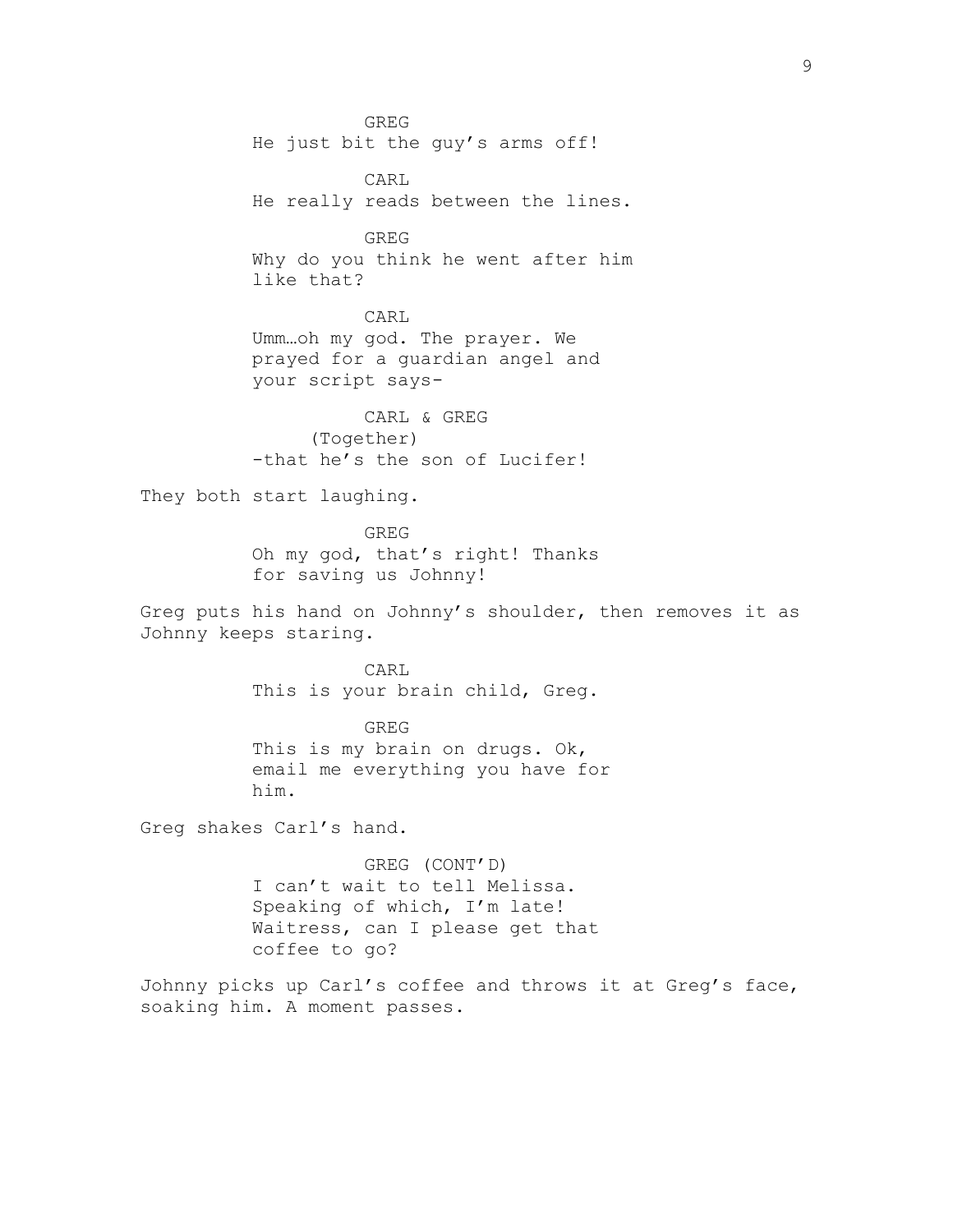GREG He just bit the guy's arms off! CARL He really reads between the lines. GREG Why do you think he went after him like that? CARL Umm…oh my god. The prayer. We prayed for a guardian angel and your script says-CARL & GREG (Together) -that he's the son of Lucifer! They both start laughing. GREG Oh my god, that's right! Thanks for saving us Johnny! Greg puts his hand on Johnny's shoulder, then removes it as Johnny keeps staring. CARL This is your brain child, Greg. GREG This is my brain on drugs. Ok, email me everything you have for him. Greg shakes Carl's hand. GREG (CONT'D) I can't wait to tell Melissa. Speaking of which, I'm late! Waitress, can I please get that coffee to go? Johnny picks up Carl's coffee and throws it at Greg's face, soaking him. A moment passes.